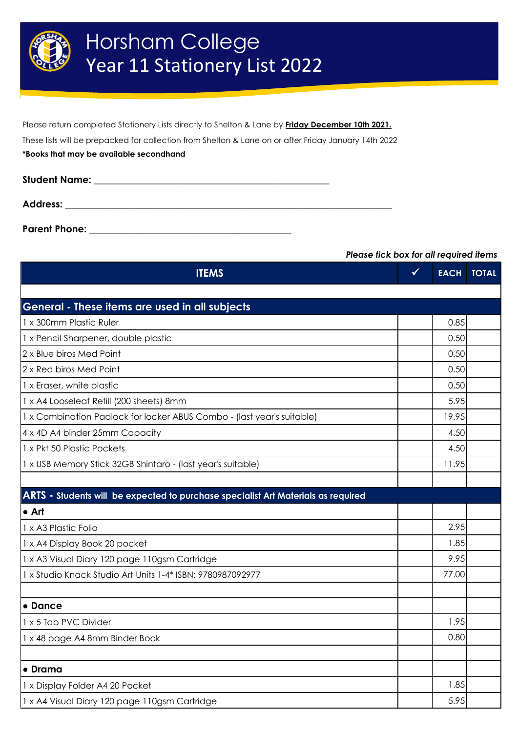

Please return completed Stationery Lists directly to Shelton & Lane by **Friday December 10th 2021.** These lists will be prepacked for collection from Shelton & Lane on or after Friday January 14th 2022 **\*Books that may be available secondhand**

| <b>Student Name:</b> | <u> 2001 - John Stein, Amerikaansk konstantiner (* 1892)</u> |  |
|----------------------|--------------------------------------------------------------|--|
| <b>Address:</b>      |                                                              |  |
| <b>Parent Phone:</b> |                                                              |  |

## *Please tick box for all required items*

| <b>ITEMS</b>                                                                      | $\checkmark$ | <b>EACH</b> | <b>TOTAL</b> |
|-----------------------------------------------------------------------------------|--------------|-------------|--------------|
|                                                                                   |              |             |              |
| General - These items are used in all subjects                                    |              |             |              |
| 1 x 300mm Plastic Ruler                                                           |              | 0.85        |              |
| 1 x Pencil Sharpener, double plastic                                              |              | 0.50        |              |
| 2 x Blue biros Med Point                                                          |              | 0.50        |              |
| 2 x Red biros Med Point                                                           |              | 0.50        |              |
| 1 x Eraser, white plastic                                                         |              | 0.50        |              |
| 1 x A4 Looseleaf Refill (200 sheets) 8mm                                          |              | 5.95        |              |
| 1 x Combination Padlock for locker ABUS Combo - (last year's suitable)            |              | 19.95       |              |
| 4 x 4D A4 binder 25mm Capacity                                                    |              | 4.50        |              |
| 1 x Pkt 50 Plastic Pockets                                                        |              | 4.50        |              |
| 1 x USB Memory Stick 32GB Shintaro - (last year's suitable)                       |              | 11.95       |              |
|                                                                                   |              |             |              |
| ARTS - Students will be expected to purchase specialist Art Materials as required |              |             |              |
| l• Art                                                                            |              |             |              |
| 1 x A3 Plastic Folio                                                              |              | 2.95        |              |
| 1 x A4 Display Book 20 pocket                                                     |              | 1.85        |              |
| 1 x A3 Visual Diary 120 page 110gsm Cartridge                                     |              | 9.95        |              |
| 1 x Studio Knack Studio Art Units 1-4* ISBN: 9780987092977                        |              | 77.00       |              |
|                                                                                   |              |             |              |
| • Dance                                                                           |              |             |              |
| 1 x 5 Tab PVC Divider                                                             |              | 1.95        |              |
| 1 x 48 page A4 8mm Binder Book                                                    |              | 0.80        |              |
|                                                                                   |              |             |              |
| • Drama                                                                           |              |             |              |
| 1 x Display Folder A4 20 Pocket                                                   |              | 1.85        |              |
| 1 x A4 Visual Diary 120 page 110gsm Cartridge                                     |              | 5.95        |              |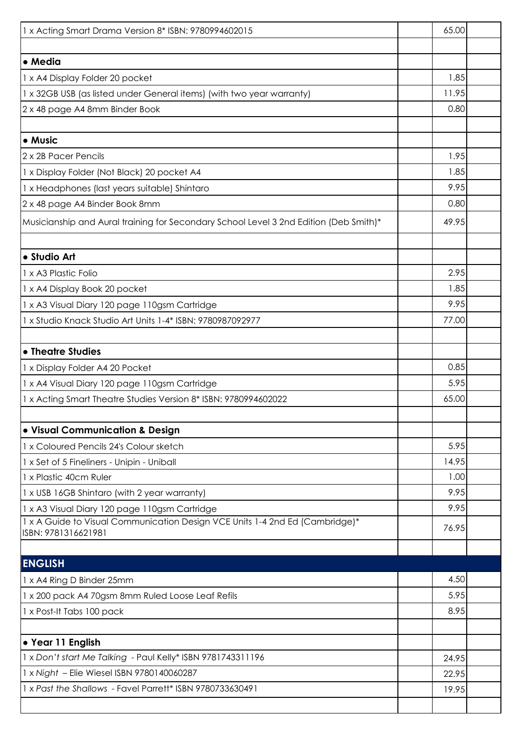| 1 x Acting Smart Drama Version 8* ISBN: 9780994602015                                               | 65.00 |  |
|-----------------------------------------------------------------------------------------------------|-------|--|
|                                                                                                     |       |  |
| • Media                                                                                             |       |  |
| 1 x A4 Display Folder 20 pocket                                                                     | 1.85  |  |
| 1 x 32GB USB (as listed under General items) (with two year warranty)                               | 11.95 |  |
| 2 x 48 page A4 8mm Binder Book                                                                      | 0.80  |  |
|                                                                                                     |       |  |
| • Music                                                                                             |       |  |
| 2 x 2B Pacer Pencils                                                                                | 1.95  |  |
| 1 x Display Folder (Not Black) 20 pocket A4                                                         | 1.85  |  |
| 1 x Headphones (last years suitable) Shintaro                                                       | 9.95  |  |
| 2 x 48 page A4 Binder Book 8mm                                                                      | 0.80  |  |
| Musicianship and Aural training for Secondary School Level 3 2nd Edition (Deb Smith)*               | 49.95 |  |
|                                                                                                     |       |  |
| · Studio Art                                                                                        |       |  |
| 1 x A3 Plastic Folio                                                                                | 2.95  |  |
| 1 x A4 Display Book 20 pocket                                                                       | 1.85  |  |
| 1 x A3 Visual Diary 120 page 110gsm Cartridge                                                       | 9.95  |  |
| 1 x Studio Knack Studio Art Units 1-4* ISBN: 9780987092977                                          | 77.00 |  |
|                                                                                                     |       |  |
| • Theatre Studies                                                                                   | 0.85  |  |
| 1 x Display Folder A4 20 Pocket                                                                     | 5.95  |  |
| 1 x A4 Visual Diary 120 page 110gsm Cartridge                                                       | 65.00 |  |
| 1 x Acting Smart Theatre Studies Version 8* ISBN: 9780994602022                                     |       |  |
| · Visual Communication & Design                                                                     |       |  |
| 1 x Coloured Pencils 24's Colour sketch                                                             | 5.95  |  |
| 1 x Set of 5 Fineliners - Unipin - Uniball                                                          | 14.95 |  |
| 1 x Plastic 40cm Ruler                                                                              | 1.00  |  |
| 1 x USB 16GB Shintaro (with 2 year warranty)                                                        | 9.95  |  |
| 1 x A3 Visual Diary 120 page 110gsm Cartridge                                                       | 9.95  |  |
| 1 x A Guide to Visual Communication Design VCE Units 1-4 2nd Ed (Cambridge)*<br>ISBN: 9781316621981 | 76.95 |  |
|                                                                                                     |       |  |
| <b>ENGLISH</b>                                                                                      |       |  |
| 1 x A4 Ring D Binder 25mm                                                                           | 4.50  |  |
| 1 x 200 pack A4 70gsm 8mm Ruled Loose Leaf Refils                                                   | 5.95  |  |
| 1 x Post-It Tabs 100 pack                                                                           | 8.95  |  |
|                                                                                                     |       |  |
| • Year 11 English                                                                                   |       |  |
| 1 x Don't start Me Talking - Paul Kelly* ISBN 9781743311196                                         | 24.95 |  |
| 1 x Night - Elie Wiesel ISBN 9780140060287                                                          | 22.95 |  |
| 1 x Past the Shallows - Favel Parrett* ISBN 9780733630491                                           | 19.95 |  |
|                                                                                                     |       |  |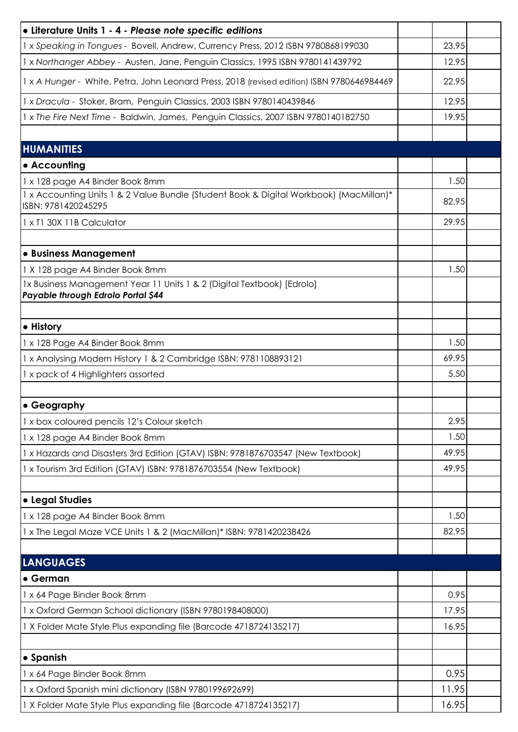| • Literature Units 1 - 4 - Please note specific editions                                                      |       |  |
|---------------------------------------------------------------------------------------------------------------|-------|--|
| 1 x Speaking in Tongues - Bovell, Andrew, Currency Press, 2012 ISBN 9780868199030                             | 23.95 |  |
| 1 x Northanger Abbey - Austen, Jane, Penguin Classics, 1995 ISBN 9780141439792                                | 12.95 |  |
| 1 x A Hunger - White, Petra, John Leonard Press, 2018 (revised edition) ISBN 9780646984469                    | 22.95 |  |
| 1 x Dracula - Stoker, Bram, Penguin Classics, 2003 ISBN 9780140439846                                         | 12.95 |  |
| 1 x The Fire Next Time - Baldwin, James, Penguin Classics, 2007 ISBN 9780140182750                            | 19.95 |  |
|                                                                                                               |       |  |
| <b>HUMANITIES</b>                                                                                             |       |  |
| • Accounting                                                                                                  |       |  |
| 1 x 128 page A4 Binder Book 8mm                                                                               | 1.50  |  |
| 1 x Accounting Units 1 & 2 Value Bundle (Student Book & Digital Workbook) (MacMillan)*<br>ISBN: 9781420245295 | 82.95 |  |
| 1 x T1 30X 11B Calculator                                                                                     | 29.95 |  |
|                                                                                                               |       |  |
| • Business Management                                                                                         |       |  |
| 1 X 128 page A4 Binder Book 8mm                                                                               | 1.50  |  |
| 1x Business Management Year 11 Units 1 & 2 (Digital Textbook) [Edrolo]<br>Payable through Edrolo Portal \$44  |       |  |
|                                                                                                               |       |  |
| • History                                                                                                     |       |  |
| 1 x 128 Page A4 Binder Book 8mm                                                                               | 1.50  |  |
| 1 x Analysing Modern History 1 & 2 Cambridge ISBN: 9781108893121                                              | 69.95 |  |
| 1 x pack of 4 Highlighters assorted                                                                           | 5.50  |  |
|                                                                                                               |       |  |
| <b>• Geography</b>                                                                                            |       |  |
| 1 x box coloured pencils 12's Colour sketch                                                                   | 2.95  |  |
| 1 x 128 page A4 Binder Book 8mm                                                                               | 1.50  |  |
| 1 x Hazards and Disasters 3rd Edition (GTAV) ISBN: 9781876703547 (New Textbook)                               | 49.95 |  |
| 1 x Tourism 3rd Edition (GTAV) ISBN: 9781876703554 (New Textbook)                                             | 49.95 |  |
|                                                                                                               |       |  |
| • Legal Studies                                                                                               |       |  |
| 1 x 128 page A4 Binder Book 8mm                                                                               | 1.50  |  |
| 1 x The Legal Maze VCE Units 1 & 2 (MacMillan)* ISBN: 9781420238426                                           | 82.95 |  |
|                                                                                                               |       |  |
| <b>LANGUAGES</b>                                                                                              |       |  |
| • German                                                                                                      |       |  |
| 1 x 64 Page Binder Book 8mm                                                                                   | 0.95  |  |
| 1 x Oxford German School dictionary (ISBN 9780198408000)                                                      | 17.95 |  |
| 1 X Folder Mate Style Plus expanding file (Barcode 4718724135217)                                             | 16.95 |  |
| • Spanish                                                                                                     |       |  |
| 1 x 64 Page Binder Book 8mm                                                                                   | 0.95  |  |
| 1 x Oxford Spanish mini dictionary (ISBN 9780199692699)                                                       | 11.95 |  |
| 1 X Folder Mate Style Plus expanding file (Barcode 4718724135217)                                             | 16.95 |  |
|                                                                                                               |       |  |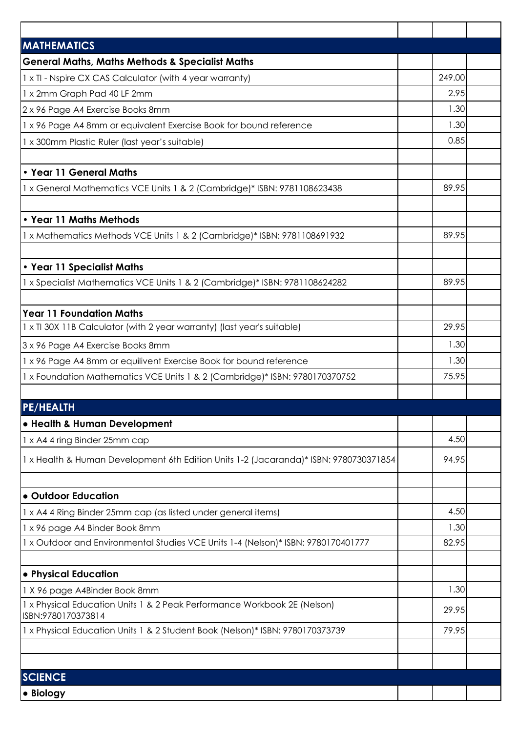| <b>MATHEMATICS</b>                                                                             |        |  |
|------------------------------------------------------------------------------------------------|--------|--|
| <b>General Maths, Maths Methods &amp; Specialist Maths</b>                                     |        |  |
| 1 x TI - Nspire CX CAS Calculator (with 4 year warranty)                                       | 249.00 |  |
| 1 x 2mm Graph Pad 40 LF 2mm                                                                    | 2.95   |  |
| 2 x 96 Page A4 Exercise Books 8mm                                                              | 1.30   |  |
| 1 x 96 Page A4 8mm or equivalent Exercise Book for bound reference                             | 1.30   |  |
| 1 x 300mm Plastic Ruler (last year's suitable)                                                 | 0.85   |  |
| • Year 11 General Maths                                                                        |        |  |
| 1 x General Mathematics VCE Units 1 & 2 (Cambridge)* ISBN: 9781108623438                       | 89.95  |  |
|                                                                                                |        |  |
| • Year 11 Maths Methods                                                                        |        |  |
| 1 x Mathematics Methods VCE Units 1 & 2 (Cambridge)* ISBN: 9781108691932                       | 89.95  |  |
|                                                                                                |        |  |
| • Year 11 Specialist Maths                                                                     |        |  |
| 1 x Specialist Mathematics VCE Units 1 & 2 (Cambridge)* ISBN: 9781108624282                    | 89.95  |  |
|                                                                                                |        |  |
| <b>Year 11 Foundation Maths</b>                                                                |        |  |
| 1 x TI 30X 11B Calculator (with 2 year warranty) (last year's suitable)                        | 29.95  |  |
| 3 x 96 Page A4 Exercise Books 8mm                                                              | 1.30   |  |
| 1 x 96 Page A4 8mm or equilivent Exercise Book for bound reference                             | 1.30   |  |
| 1 x Foundation Mathematics VCE Units 1 & 2 (Cambridge)* ISBN: 9780170370752                    | 75.95  |  |
|                                                                                                |        |  |
| <b>PE/HEALTH</b>                                                                               |        |  |
| • Health & Human Development                                                                   |        |  |
| 1 x A4 4 ring Binder 25mm cap                                                                  | 4.50   |  |
| 1 x Health & Human Development 6th Edition Units 1-2 (Jacaranda)* ISBN: 9780730371854          | 94.95  |  |
|                                                                                                |        |  |
| • Outdoor Education                                                                            |        |  |
| 1 x A4 4 Ring Binder 25mm cap (as listed under general items)                                  | 4.50   |  |
| 1 x 96 page A4 Binder Book 8mm                                                                 | 1.30   |  |
| 1 x Outdoor and Environmental Studies VCE Units 1-4 (Nelson)* ISBN: 9780170401777              | 82.95  |  |
| • Physical Education                                                                           |        |  |
| 1 X 96 page A4Binder Book 8mm                                                                  | 1.30   |  |
| 1 x Physical Education Units 1 & 2 Peak Performance Workbook 2E (Nelson)<br>ISBN:9780170373814 | 29.95  |  |
| 1 x Physical Education Units 1 & 2 Student Book (Nelson)* ISBN: 9780170373739                  | 79.95  |  |
|                                                                                                |        |  |
|                                                                                                |        |  |
| <b>SCIENCE</b>                                                                                 |        |  |
| • Biology                                                                                      |        |  |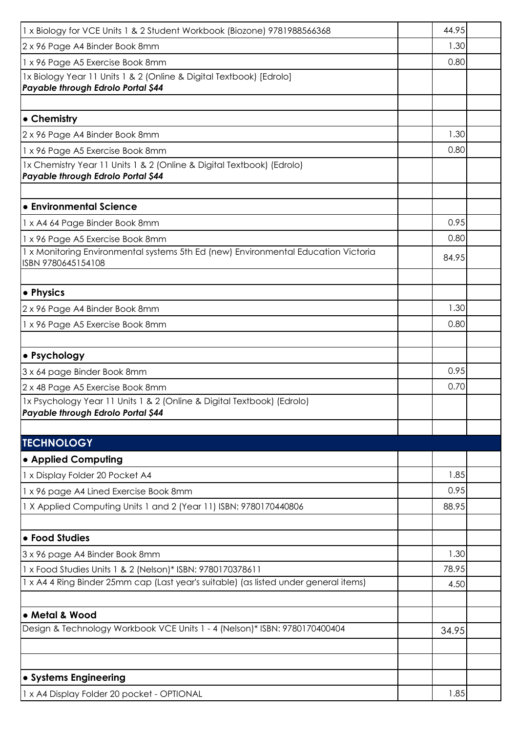| 1 x Biology for VCE Units 1 & 2 Student Workbook (Biozone) 9781988566368                                     | 44.95 |  |
|--------------------------------------------------------------------------------------------------------------|-------|--|
| 2 x 96 Page A4 Binder Book 8mm                                                                               | 1.30  |  |
| 1 x 96 Page A5 Exercise Book 8mm                                                                             | 0.80  |  |
| 1x Biology Year 11 Units 1 & 2 (Online & Digital Textbook) [Edrolo]<br>Payable through Edrolo Portal \$44    |       |  |
|                                                                                                              |       |  |
| • Chemistry                                                                                                  |       |  |
| 2 x 96 Page A4 Binder Book 8mm                                                                               | 1.30  |  |
| 1 x 96 Page A5 Exercise Book 8mm                                                                             | 0.80  |  |
| 1x Chemistry Year 11 Units 1 & 2 (Online & Digital Textbook) (Edrolo)<br>Payable through Edrolo Portal \$44  |       |  |
|                                                                                                              |       |  |
| • Environmental Science                                                                                      |       |  |
| 1 x A4 64 Page Binder Book 8mm                                                                               | 0.95  |  |
| 1 x 96 Page A5 Exercise Book 8mm                                                                             | 0.80  |  |
| 1 x Monitoring Environmental systems 5th Ed (new) Environmental Education Victoria<br>ISBN 9780645154108     | 84.95 |  |
|                                                                                                              |       |  |
| • Physics                                                                                                    |       |  |
| 2 x 96 Page A4 Binder Book 8mm                                                                               | 1.30  |  |
| 1 x 96 Page A5 Exercise Book 8mm                                                                             | 0.80  |  |
| • Psychology                                                                                                 |       |  |
| 3 x 64 page Binder Book 8mm                                                                                  | 0.95  |  |
| 2 x 48 Page A5 Exercise Book 8mm                                                                             | 0.70  |  |
| 1x Psychology Year 11 Units 1 & 2 (Online & Digital Textbook) (Edrolo)<br>Payable through Edrolo Portal \$44 |       |  |
| <b>TECHNOLOGY</b>                                                                                            |       |  |
|                                                                                                              |       |  |
| • Applied Computing                                                                                          | 1.85  |  |
| 1 x Display Folder 20 Pocket A4                                                                              |       |  |
| 1 x 96 page A4 Lined Exercise Book 8mm                                                                       | 0.95  |  |
| 1 X Applied Computing Units 1 and 2 (Year 11) ISBN: 9780170440806                                            | 88.95 |  |
| • Food Studies                                                                                               |       |  |
| 3 x 96 page A4 Binder Book 8mm                                                                               | 1.30  |  |
| 1 x Food Studies Units 1 & 2 (Nelson)* ISBN: 9780170378611                                                   | 78.95 |  |
| 1 x A4 4 Ring Binder 25mm cap (Last year's suitable) (as listed under general items)                         | 4.50  |  |
|                                                                                                              |       |  |
| • Metal & Wood                                                                                               |       |  |
| Design & Technology Workbook VCE Units 1 - 4 (Nelson)* ISBN: 9780170400404                                   | 34.95 |  |
|                                                                                                              |       |  |
|                                                                                                              |       |  |
| • Systems Engineering                                                                                        |       |  |
| 1 x A4 Display Folder 20 pocket - OPTIONAL                                                                   | 1.85  |  |